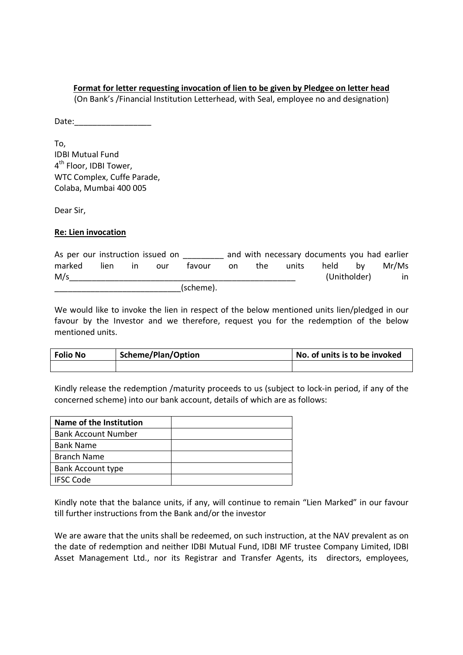## **Format for letter requesting invocation of lien to be given by Pledgee on letter head**

(On Bank's /Financial Institution Letterhead, with Seal, employee no and designation)

Date:

To, IDBI Mutual Fund 4<sup>th</sup> Floor, IDBI Tower, WTC Complex, Cuffe Parade, Colaba, Mumbai 400 005

Dear Sir,

## **Re: Lien invocation**

| As per our instruction issued on |       |     |     |           |     |     |       | and with necessary documents you had earlier |    |       |
|----------------------------------|-------|-----|-----|-----------|-----|-----|-------|----------------------------------------------|----|-------|
| marked                           | lien. | in. | our | tavour    | on. | the | units | held                                         | bv | Mr/Ms |
| M/s                              |       |     |     |           |     |     |       | (Unitholder)                                 |    | in    |
|                                  |       |     |     | (scheme). |     |     |       |                                              |    |       |

We would like to invoke the lien in respect of the below mentioned units lien/pledged in our favour by the Investor and we therefore, request you for the redemption of the below mentioned units.

| <b>Folio No</b> | Scheme/Plan/Option | No. of units is to be invoked |  |  |  |  |
|-----------------|--------------------|-------------------------------|--|--|--|--|
|                 |                    |                               |  |  |  |  |

Kindly release the redemption /maturity proceeds to us (subject to lock-in period, if any of the concerned scheme) into our bank account, details of which are as follows:

| Name of the Institution    |  |
|----------------------------|--|
| <b>Bank Account Number</b> |  |
| <b>Bank Name</b>           |  |
| <b>Branch Name</b>         |  |
| <b>Bank Account type</b>   |  |
| <b>IFSC Code</b>           |  |

Kindly note that the balance units, if any, will continue to remain "Lien Marked" in our favour till further instructions from the Bank and/or the investor

We are aware that the units shall be redeemed, on such instruction, at the NAV prevalent as on the date of redemption and neither IDBI Mutual Fund, IDBI MF trustee Company Limited, IDBI Asset Management Ltd., nor its Registrar and Transfer Agents, its directors, employees,